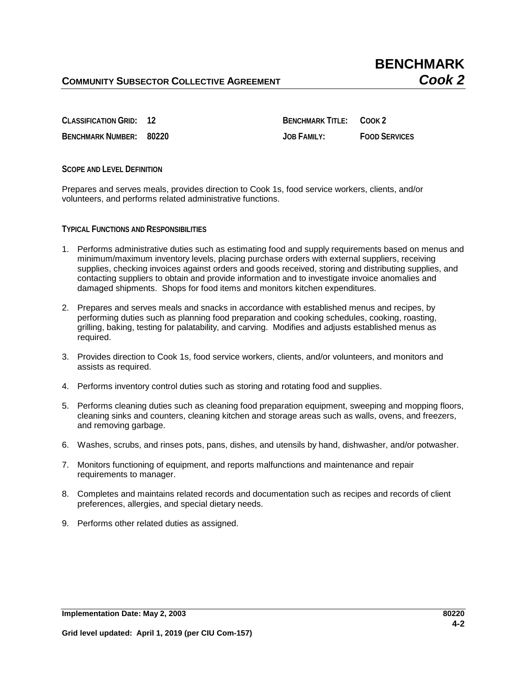**BENCHMARK NUMBER: 80220 JOB FAMILY: FOOD SERVICES**

**CLASSIFICATION GRID: 12 BENCHMARK TITLE: COOK 2** 

**SCOPE AND LEVEL DEFINITION**

Prepares and serves meals, provides direction to Cook 1s, food service workers, clients, and/or volunteers, and performs related administrative functions.

**TYPICAL FUNCTIONS AND RESPONSIBILITIES**

- 1. Performs administrative duties such as estimating food and supply requirements based on menus and minimum/maximum inventory levels, placing purchase orders with external suppliers, receiving supplies, checking invoices against orders and goods received, storing and distributing supplies, and contacting suppliers to obtain and provide information and to investigate invoice anomalies and damaged shipments. Shops for food items and monitors kitchen expenditures.
- 2. Prepares and serves meals and snacks in accordance with established menus and recipes, by performing duties such as planning food preparation and cooking schedules, cooking, roasting, grilling, baking, testing for palatability, and carving. Modifies and adjusts established menus as required.
- 3. Provides direction to Cook 1s, food service workers, clients, and/or volunteers, and monitors and assists as required.
- 4. Performs inventory control duties such as storing and rotating food and supplies.
- 5. Performs cleaning duties such as cleaning food preparation equipment, sweeping and mopping floors, cleaning sinks and counters, cleaning kitchen and storage areas such as walls, ovens, and freezers, and removing garbage.
- 6. Washes, scrubs, and rinses pots, pans, dishes, and utensils by hand, dishwasher, and/or potwasher.
- 7. Monitors functioning of equipment, and reports malfunctions and maintenance and repair requirements to manager.
- 8. Completes and maintains related records and documentation such as recipes and records of client preferences, allergies, and special dietary needs.
- 9. Performs other related duties as assigned.